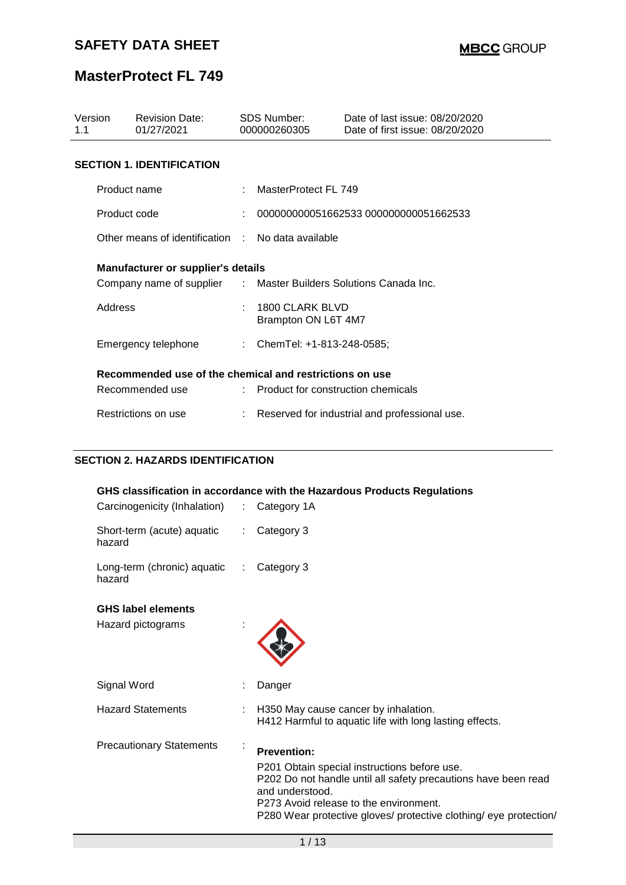# **MasterProtect FL 749**

| Version<br>11                                     | <b>Revision Date:</b><br>01/27/2021                              |  | <b>SDS Number:</b><br>000000260305            | Date of last issue: 08/20/2020<br>Date of first issue: 08/20/2020 |  |  |  |
|---------------------------------------------------|------------------------------------------------------------------|--|-----------------------------------------------|-------------------------------------------------------------------|--|--|--|
| <b>SECTION 1. IDENTIFICATION</b>                  |                                                                  |  |                                               |                                                                   |  |  |  |
|                                                   | Product name                                                     |  | MasterProtect FL 749                          |                                                                   |  |  |  |
|                                                   | Product code                                                     |  | 000000000051662533 000000000051662533         |                                                                   |  |  |  |
| Other means of identification : No data available |                                                                  |  |                                               |                                                                   |  |  |  |
|                                                   | <b>Manufacturer or supplier's details</b>                        |  |                                               |                                                                   |  |  |  |
|                                                   | Company name of supplier : Master Builders Solutions Canada Inc. |  |                                               |                                                                   |  |  |  |
|                                                   | Address                                                          |  | 1800 CLARK BLVD<br>Brampton ON L6T 4M7        |                                                                   |  |  |  |
|                                                   | Emergency telephone                                              |  | : ChemTel: +1-813-248-0585;                   |                                                                   |  |  |  |
|                                                   | Recommended use of the chemical and restrictions on use          |  |                                               |                                                                   |  |  |  |
|                                                   | Recommended use                                                  |  | : Product for construction chemicals          |                                                                   |  |  |  |
|                                                   | Restrictions on use                                              |  | Reserved for industrial and professional use. |                                                                   |  |  |  |

### **SECTION 2. HAZARDS IDENTIFICATION**

| GHS classification in accordance with the Hazardous Products Regulations |                           |                                                                                                                                                                                                                                                                        |  |  |  |  |
|--------------------------------------------------------------------------|---------------------------|------------------------------------------------------------------------------------------------------------------------------------------------------------------------------------------------------------------------------------------------------------------------|--|--|--|--|
| Carcinogenicity (Inhalation)                                             | $\mathbb{R}^{\mathbb{Z}}$ | Category 1A                                                                                                                                                                                                                                                            |  |  |  |  |
| Short-term (acute) aquatic<br>hazard                                     |                           | Category 3                                                                                                                                                                                                                                                             |  |  |  |  |
| Long-term (chronic) aquatic<br>hazard                                    | $\mathcal{L}$             | Category 3                                                                                                                                                                                                                                                             |  |  |  |  |
| <b>GHS label elements</b>                                                |                           |                                                                                                                                                                                                                                                                        |  |  |  |  |
| Hazard pictograms                                                        |                           |                                                                                                                                                                                                                                                                        |  |  |  |  |
| Signal Word                                                              |                           | Danger                                                                                                                                                                                                                                                                 |  |  |  |  |
| <b>Hazard Statements</b>                                                 |                           | H350 May cause cancer by inhalation.<br>H412 Harmful to aquatic life with long lasting effects.                                                                                                                                                                        |  |  |  |  |
| <b>Precautionary Statements</b>                                          |                           | <b>Prevention:</b><br>P201 Obtain special instructions before use.<br>P202 Do not handle until all safety precautions have been read<br>and understood.<br>P273 Avoid release to the environment.<br>P280 Wear protective gloves/ protective clothing/ eye protection/ |  |  |  |  |
|                                                                          |                           |                                                                                                                                                                                                                                                                        |  |  |  |  |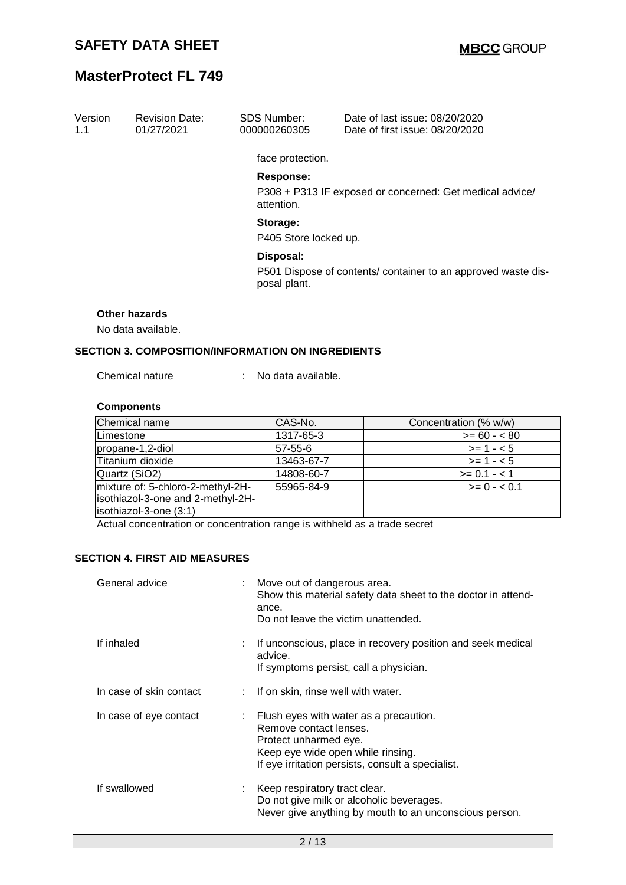## **MasterProtect FL 749**

| Version<br>1.1 | <b>Revision Date:</b><br>01/27/2021                      | <b>SDS Number:</b><br>000000260305 | Date of last issue: 08/20/2020<br>Date of first issue: 08/20/2020 |  |  |  |
|----------------|----------------------------------------------------------|------------------------------------|-------------------------------------------------------------------|--|--|--|
|                |                                                          | face protection.                   |                                                                   |  |  |  |
|                |                                                          | <b>Response:</b><br>attention.     | P308 + P313 IF exposed or concerned: Get medical advice/          |  |  |  |
|                |                                                          | Storage:<br>P405 Store locked up.  |                                                                   |  |  |  |
|                |                                                          | Disposal:                          |                                                                   |  |  |  |
|                |                                                          | posal plant.                       | P501 Dispose of contents/ container to an approved waste dis-     |  |  |  |
|                | <b>Other hazards</b>                                     |                                    |                                                                   |  |  |  |
|                | No data available.                                       |                                    |                                                                   |  |  |  |
|                | <b>SECTION 3. COMPOSITION/INFORMATION ON INGREDIENTS</b> |                                    |                                                                   |  |  |  |
|                | Chemical nature                                          | No data available.                 |                                                                   |  |  |  |
|                | <b>Components</b>                                        |                                    |                                                                   |  |  |  |

| Chemical name                     | CAS-No.    | Concentration (% w/w) |
|-----------------------------------|------------|-----------------------|
| Limestone                         | 1317-65-3  | $>= 60 - 80$          |
| propane-1,2-diol                  | 57-55-6    | $>= 1 - 5$            |
| Titanium dioxide                  | 13463-67-7 | $>= 1 - 5$            |
| Quartz (SiO2)                     | 14808-60-7 | $>= 0.1 - 1.1$        |
| mixture of: 5-chloro-2-methyl-2H- | 55965-84-9 | $>= 0 - 5.01$         |
| isothiazol-3-one and 2-methyl-2H- |            |                       |
| isothiazol-3-one (3:1)            |            |                       |

Actual concentration or concentration range is withheld as a trade secret

#### **SECTION 4. FIRST AID MEASURES**

| General advice          | Move out of dangerous area.<br>Show this material safety data sheet to the doctor in attend-<br>ance.<br>Do not leave the victim unattended.                                          |
|-------------------------|---------------------------------------------------------------------------------------------------------------------------------------------------------------------------------------|
| If inhaled              | If unconscious, place in recovery position and seek medical<br>advice.<br>If symptoms persist, call a physician.                                                                      |
| In case of skin contact | : If on skin, rinse well with water.                                                                                                                                                  |
| In case of eye contact  | : Flush eyes with water as a precaution.<br>Remove contact lenses.<br>Protect unharmed eye.<br>Keep eye wide open while rinsing.<br>If eye irritation persists, consult a specialist. |
| If swallowed            | Keep respiratory tract clear.<br>Do not give milk or alcoholic beverages.<br>Never give anything by mouth to an unconscious person.                                                   |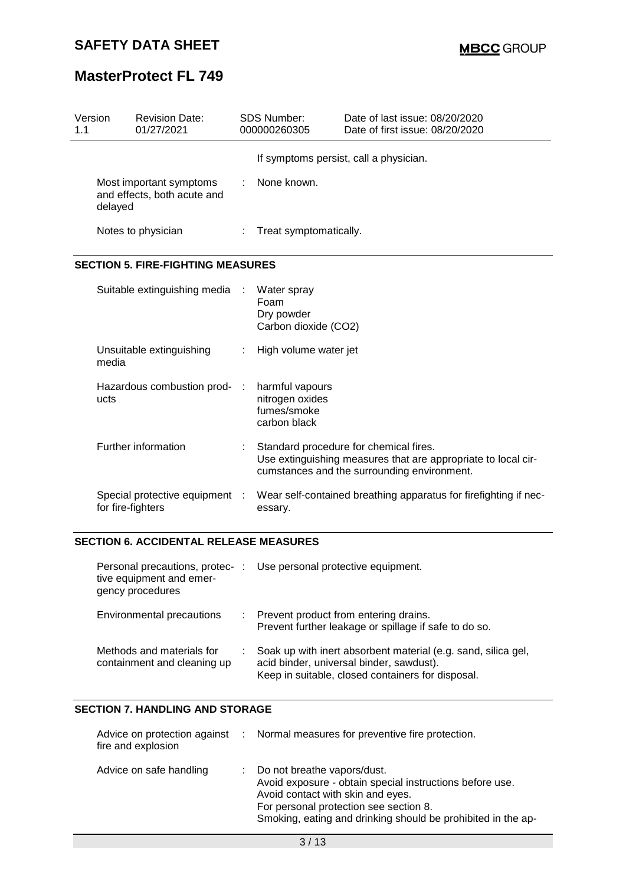# **MasterProtect FL 749**

| 1.1                                                               | Version | <b>Revision Date:</b><br>01/27/2021                 |                        | <b>SDS Number:</b><br>000000260305                                | Date of last issue: 08/20/2020<br>Date of first issue: 08/20/2020                                                                                      |
|-------------------------------------------------------------------|---------|-----------------------------------------------------|------------------------|-------------------------------------------------------------------|--------------------------------------------------------------------------------------------------------------------------------------------------------|
|                                                                   |         |                                                     |                        |                                                                   | If symptoms persist, call a physician.                                                                                                                 |
| Most important symptoms<br>and effects, both acute and<br>delayed |         |                                                     | None known.            |                                                                   |                                                                                                                                                        |
| Notes to physician                                                |         | ÷                                                   | Treat symptomatically. |                                                                   |                                                                                                                                                        |
|                                                                   |         | <b>SECTION 5. FIRE-FIGHTING MEASURES</b>            |                        |                                                                   |                                                                                                                                                        |
|                                                                   |         | Suitable extinguishing media                        |                        | Water spray<br>Foam<br>Dry powder<br>Carbon dioxide (CO2)         |                                                                                                                                                        |
|                                                                   | media   | Unsuitable extinguishing                            |                        | High volume water jet                                             |                                                                                                                                                        |
|                                                                   | ucts    | Hazardous combustion prod-                          |                        | harmful vapours<br>nitrogen oxides<br>fumes/smoke<br>carbon black |                                                                                                                                                        |
|                                                                   |         | Further information                                 |                        |                                                                   | Standard procedure for chemical fires.<br>Use extinguishing measures that are appropriate to local cir-<br>cumstances and the surrounding environment. |
|                                                                   |         | Special protective equipment :<br>for fire-fighters |                        | essary.                                                           | Wear self-contained breathing apparatus for firefighting if nec-                                                                                       |

### **SECTION 6. ACCIDENTAL RELEASE MEASURES**

| Personal precautions, protec-:<br>tive equipment and emer-<br>gency procedures | Use personal protective equipment.                                                                                                                             |
|--------------------------------------------------------------------------------|----------------------------------------------------------------------------------------------------------------------------------------------------------------|
| <b>Environmental precautions</b>                                               | : Prevent product from entering drains.<br>Prevent further leakage or spillage if safe to do so.                                                               |
| Methods and materials for<br>containment and cleaning up                       | Soak up with inert absorbent material (e.g. sand, silica gel,<br>acid binder, universal binder, sawdust).<br>Keep in suitable, closed containers for disposal. |

### **SECTION 7. HANDLING AND STORAGE**

| fire and explosion      | Advice on protection against : Normal measures for preventive fire protection.                                                                                                                                                           |
|-------------------------|------------------------------------------------------------------------------------------------------------------------------------------------------------------------------------------------------------------------------------------|
| Advice on safe handling | : Do not breathe vapors/dust.<br>Avoid exposure - obtain special instructions before use.<br>Avoid contact with skin and eyes.<br>For personal protection see section 8.<br>Smoking, eating and drinking should be prohibited in the ap- |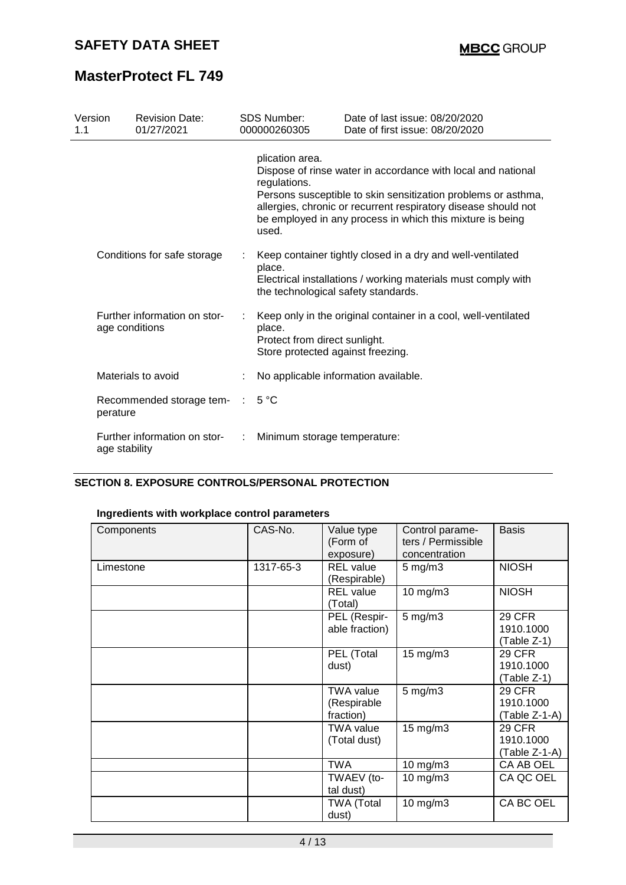# **MasterProtect FL 749**

| Version<br>1.1                                 |               | <b>Revision Date:</b><br>01/27/2021 |                                                                                                                                                | <b>SDS Number:</b><br>000000260305            | Date of last issue: 08/20/2020<br>Date of first issue: 08/20/2020                                                                                                                                                                                            |
|------------------------------------------------|---------------|-------------------------------------|------------------------------------------------------------------------------------------------------------------------------------------------|-----------------------------------------------|--------------------------------------------------------------------------------------------------------------------------------------------------------------------------------------------------------------------------------------------------------------|
|                                                |               |                                     |                                                                                                                                                | plication area.<br>regulations.<br>used.      | Dispose of rinse water in accordance with local and national<br>Persons susceptible to skin sensitization problems or asthma,<br>allergies, chronic or recurrent respiratory disease should not<br>be employed in any process in which this mixture is being |
|                                                |               | Conditions for safe storage         |                                                                                                                                                | place.<br>the technological safety standards. | Keep container tightly closed in a dry and well-ventilated<br>Electrical installations / working materials must comply with                                                                                                                                  |
| Further information on stor-<br>age conditions |               |                                     | Keep only in the original container in a cool, well-ventilated<br>place.<br>Protect from direct sunlight.<br>Store protected against freezing. |                                               |                                                                                                                                                                                                                                                              |
|                                                |               | Materials to avoid                  |                                                                                                                                                | No applicable information available.          |                                                                                                                                                                                                                                                              |
|                                                | perature      | Recommended storage tem-            | $\mathcal{L}$                                                                                                                                  | $5^{\circ}$ C                                 |                                                                                                                                                                                                                                                              |
|                                                | age stability | Further information on stor-        | ÷                                                                                                                                              | Minimum storage temperature:                  |                                                                                                                                                                                                                                                              |

### **SECTION 8. EXPOSURE CONTROLS/PERSONAL PROTECTION**

### **Ingredients with workplace control parameters**

| Components | CAS-No.   | Value type<br>(Form of<br>exposure)          | Control parame-<br>ters / Permissible<br>concentration | <b>Basis</b>                                |
|------------|-----------|----------------------------------------------|--------------------------------------------------------|---------------------------------------------|
| Limestone  | 1317-65-3 | <b>REL</b> value<br>(Respirable)             | $5 \text{ mg/m}$ 3                                     | <b>NIOSH</b>                                |
|            |           | <b>REL</b> value<br>(Total)                  | 10 mg/m3                                               | <b>NIOSH</b>                                |
|            |           | PEL (Respir-<br>able fraction)               | $5$ mg/m $3$                                           | <b>29 CFR</b><br>1910.1000<br>(Table Z-1)   |
|            |           | PEL (Total<br>dust)                          | $15 \text{ mg/m}$ 3                                    | <b>29 CFR</b><br>1910.1000<br>(Table Z-1)   |
|            |           | <b>TWA value</b><br>(Respirable<br>fraction) | $5$ mg/m $3$                                           | <b>29 CFR</b><br>1910.1000<br>(Table Z-1-A) |
|            |           | <b>TWA value</b><br>(Total dust)             | $15$ mg/m $3$                                          | <b>29 CFR</b><br>1910.1000<br>(Table Z-1-A) |
|            |           | <b>TWA</b>                                   | $10$ mg/m $3$                                          | CA AB OEL                                   |
|            |           | TWAEV (to-<br>tal dust)                      | 10 mg/m3                                               | CA QC OEL                                   |
|            |           | <b>TWA (Total</b><br>dust)                   | $10$ mg/m $3$                                          | CA BC OEL                                   |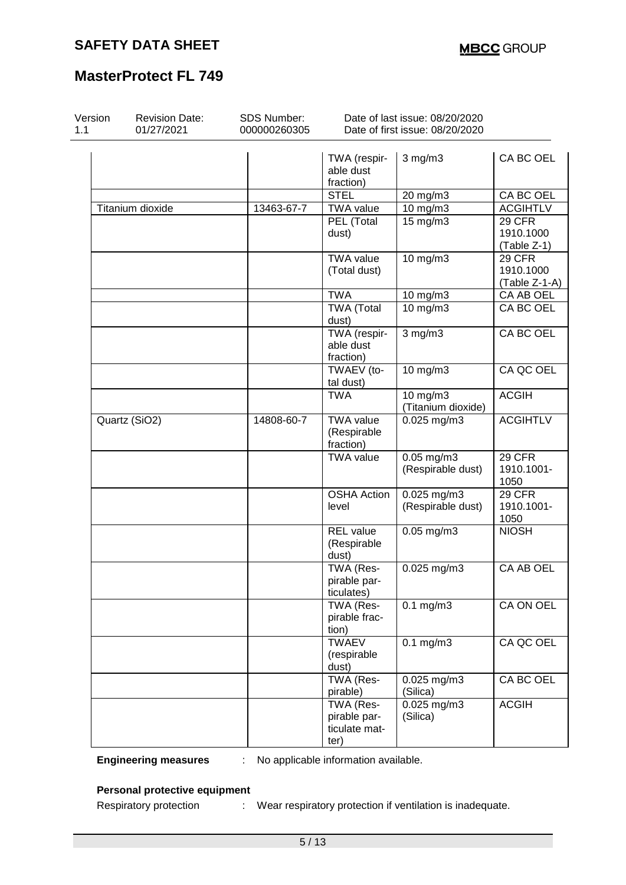## **MasterProtect FL 749**

| Version<br>1.1 | <b>Revision Date:</b><br>01/27/2021 | <b>SDS Number:</b><br>000000260305 | Date of last issue: 08/20/2020<br>Date of first issue: 08/20/2020 |                                      |                                      |  |
|----------------|-------------------------------------|------------------------------------|-------------------------------------------------------------------|--------------------------------------|--------------------------------------|--|
|                |                                     |                                    | TWA (respir-<br>able dust<br>fraction)                            | $3$ mg/m $3$                         | CA BC OEL                            |  |
|                |                                     |                                    | <b>STEL</b>                                                       | 20 mg/m3                             | CA BC OEL                            |  |
|                | Titanium dioxide                    | 13463-67-7                         | <b>TWA</b> value                                                  | 10 mg/m3                             | <b>ACGIHTLV</b>                      |  |
|                |                                     |                                    | PEL (Total<br>dust)                                               | 15 mg/m3                             | 29 CFR<br>1910.1000<br>(Table Z-1)   |  |
|                |                                     |                                    | <b>TWA value</b><br>(Total dust)                                  | 10 mg/m3                             | 29 CFR<br>1910.1000<br>(Table Z-1-A) |  |
|                |                                     |                                    | <b>TWA</b>                                                        | 10 mg/m3                             | CA AB OEL                            |  |
|                |                                     |                                    | TWA (Total<br>dust)                                               | 10 mg/m3                             | CA BC OEL                            |  |
|                |                                     |                                    | TWA (respir-<br>able dust<br>fraction)                            | $3$ mg/m $3$                         | CA BC OEL                            |  |
|                |                                     |                                    | TWAEV (to-<br>tal dust)                                           | 10 mg/m3                             | CA QC OEL                            |  |
|                |                                     |                                    | <b>TWA</b>                                                        | 10 mg/m3<br>(Titanium dioxide)       | <b>ACGIH</b>                         |  |
|                | Quartz (SiO2)                       | 14808-60-7                         | <b>TWA value</b><br>(Respirable<br>fraction)                      | $0.025$ mg/m3                        | <b>ACGIHTLV</b>                      |  |
|                |                                     |                                    | <b>TWA value</b>                                                  | $0.05$ mg/m $3$<br>(Respirable dust) | 29 CFR<br>1910.1001-<br>1050         |  |
|                |                                     |                                    | <b>OSHA Action</b><br>level                                       | 0.025 mg/m3<br>(Respirable dust)     | 29 CFR<br>1910.1001-<br>1050         |  |
|                |                                     |                                    | REL value<br>(Respirable<br>dust)                                 | $0.05$ mg/m3                         | <b>NIOSH</b>                         |  |
|                |                                     |                                    | TWA (Res-<br>pirable par-<br>ticulates)                           | 0.025 mg/m3                          | CA AB OEL                            |  |
|                |                                     |                                    | TWA (Res-<br>pirable frac-<br>tion)                               | $0.1$ mg/m $3$                       | CA ON OEL                            |  |
|                |                                     |                                    | <b>TWAEV</b><br>(respirable<br>dust)                              | $0.1$ mg/m $3$                       | CA QC OEL                            |  |
|                |                                     |                                    | TWA (Res-<br>pirable)                                             | 0.025 mg/m3<br>(Silica)              | <b>CA BC OEL</b>                     |  |
|                |                                     |                                    | TWA (Res-<br>pirable par-<br>ticulate mat-<br>ter)                | 0.025 mg/m3<br>(Silica)              | <b>ACGIH</b>                         |  |

**Engineering measures** : No applicable information available.

### **Personal protective equipment**

Respiratory protection : Wear respiratory protection if ventilation is inadequate.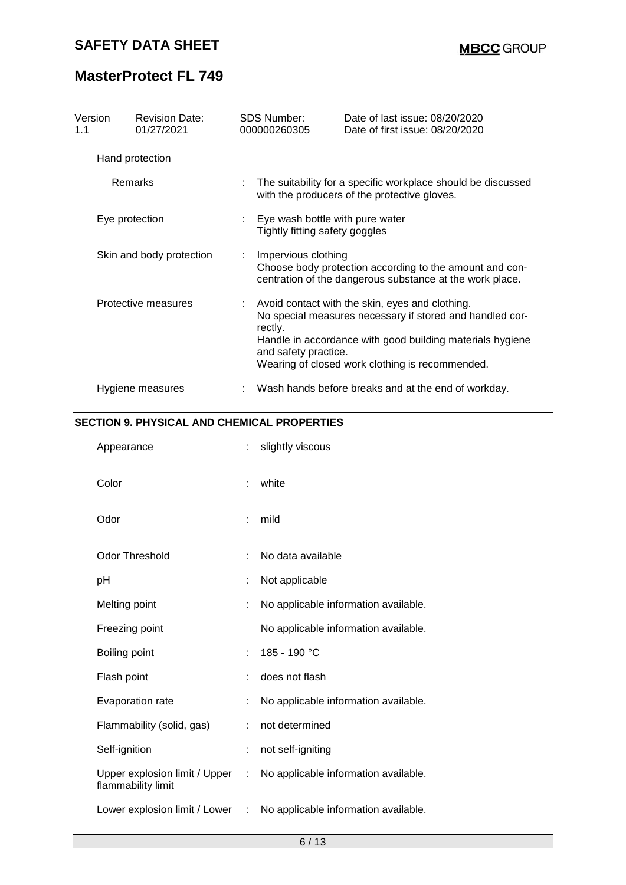# **MasterProtect FL 749**

| Version<br>1.1           | <b>Revision Date:</b><br>01/27/2021 | <b>SDS Number:</b><br>000000260305                                                                                                                                                                                                                             | Date of last issue: 08/20/2020<br>Date of first issue: 08/20/2020 |  |  |
|--------------------------|-------------------------------------|----------------------------------------------------------------------------------------------------------------------------------------------------------------------------------------------------------------------------------------------------------------|-------------------------------------------------------------------|--|--|
|                          | Hand protection                     |                                                                                                                                                                                                                                                                |                                                                   |  |  |
| Remarks                  |                                     | The suitability for a specific workplace should be discussed<br>with the producers of the protective gloves.                                                                                                                                                   |                                                                   |  |  |
| Eye protection           |                                     | : Eye wash bottle with pure water<br>Tightly fitting safety goggles                                                                                                                                                                                            |                                                                   |  |  |
| Skin and body protection |                                     | Impervious clothing<br>Choose body protection according to the amount and con-<br>centration of the dangerous substance at the work place.                                                                                                                     |                                                                   |  |  |
|                          | Protective measures                 | Avoid contact with the skin, eyes and clothing.<br>No special measures necessary if stored and handled cor-<br>rectly.<br>Handle in accordance with good building materials hygiene<br>and safety practice.<br>Wearing of closed work clothing is recommended. |                                                                   |  |  |
|                          | Hygiene measures                    | Wash hands before breaks and at the end of workday.                                                                                                                                                                                                            |                                                                   |  |  |

### **SECTION 9. PHYSICAL AND CHEMICAL PROPERTIES**

| Appearance                                          | ÷  | slightly viscous                     |
|-----------------------------------------------------|----|--------------------------------------|
| Color                                               | ÷  | white                                |
| Odor                                                | ÷  | mild                                 |
| <b>Odor Threshold</b>                               | ÷  | No data available                    |
| рH                                                  | ÷  | Not applicable                       |
| Melting point                                       | t  | No applicable information available. |
| Freezing point                                      |    | No applicable information available. |
| Boiling point                                       | ÷  | 185 - 190 °C                         |
| Flash point                                         | ÷  | does not flash                       |
| Evaporation rate                                    |    | No applicable information available. |
| Flammability (solid, gas)                           | ÷  | not determined                       |
| Self-ignition                                       | ÷  | not self-igniting                    |
| Upper explosion limit / Upper<br>flammability limit | ÷. | No applicable information available. |
| Lower explosion limit / Lower :                     |    | No applicable information available. |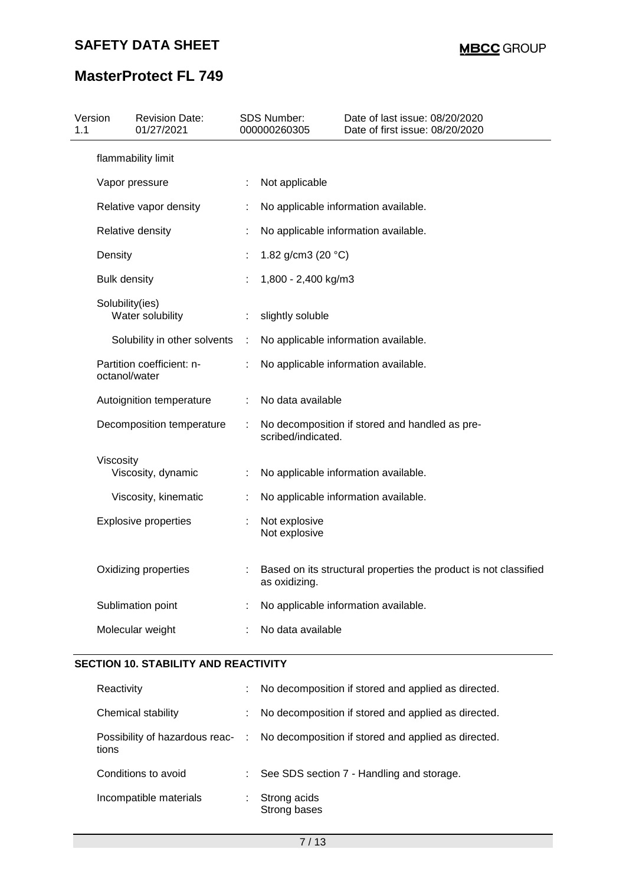# **MasterProtect FL 749**

| 1.1 | Version             | <b>Revision Date:</b><br>01/27/2021 |   | SDS Number:<br>000000260305                                                       | Date of last issue: 08/20/2020<br>Date of first issue: 08/20/2020 |
|-----|---------------------|-------------------------------------|---|-----------------------------------------------------------------------------------|-------------------------------------------------------------------|
|     |                     | flammability limit                  |   |                                                                                   |                                                                   |
|     |                     | Vapor pressure                      | ÷ | Not applicable                                                                    |                                                                   |
|     |                     | Relative vapor density              |   |                                                                                   | No applicable information available.                              |
|     |                     | Relative density                    |   |                                                                                   | No applicable information available.                              |
|     | Density             |                                     | ÷ | 1.82 g/cm3 (20 $°C$ )                                                             |                                                                   |
|     | <b>Bulk density</b> |                                     | ÷ | 1,800 - 2,400 kg/m3                                                               |                                                                   |
|     | Solubility(ies)     | Water solubility                    | ÷ | slightly soluble                                                                  |                                                                   |
|     |                     | Solubility in other solvents        | ÷ |                                                                                   | No applicable information available.                              |
|     | octanol/water       | Partition coefficient: n-           |   | No applicable information available.                                              |                                                                   |
|     |                     | Autoignition temperature            | ÷ | No data available                                                                 |                                                                   |
|     |                     | Decomposition temperature           |   | No decomposition if stored and handled as pre-<br>scribed/indicated.              |                                                                   |
|     | Viscosity           | Viscosity, dynamic                  | ÷ |                                                                                   | No applicable information available.                              |
|     |                     | Viscosity, kinematic                |   |                                                                                   | No applicable information available.                              |
|     |                     | <b>Explosive properties</b>         |   | Not explosive<br>Not explosive                                                    |                                                                   |
|     |                     | Oxidizing properties                |   | Based on its structural properties the product is not classified<br>as oxidizing. |                                                                   |
|     |                     | Sublimation point                   |   | No applicable information available.                                              |                                                                   |
|     |                     | Molecular weight                    |   | No data available                                                                 |                                                                   |

### **SECTION 10. STABILITY AND REACTIVITY**

| Reactivity             | ÷  | No decomposition if stored and applied as directed.                                  |
|------------------------|----|--------------------------------------------------------------------------------------|
| Chemical stability     | ÷. | No decomposition if stored and applied as directed.                                  |
| tions                  |    | Possibility of hazardous reac- : No decomposition if stored and applied as directed. |
| Conditions to avoid    |    | $\therefore$ See SDS section 7 - Handling and storage.                               |
| Incompatible materials |    | Strong acids<br>Strong bases                                                         |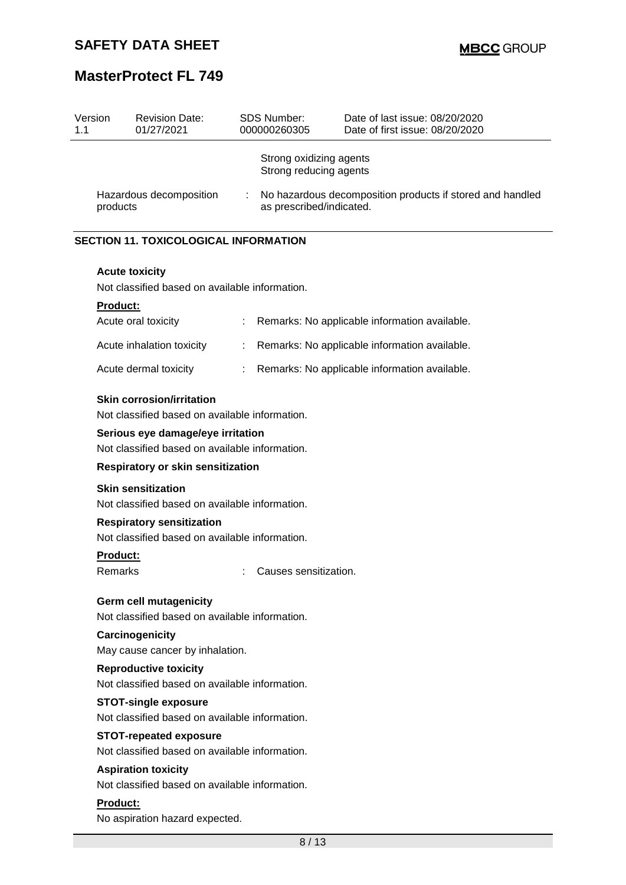## **MasterProtect FL 749**

| Version<br>1.1 | <b>Revision Date:</b><br>01/27/2021            | <b>SDS Number:</b><br>000000260305                | Date of last issue: 08/20/2020<br>Date of first issue: 08/20/2020 |
|----------------|------------------------------------------------|---------------------------------------------------|-------------------------------------------------------------------|
|                |                                                | Strong oxidizing agents<br>Strong reducing agents |                                                                   |
| products       | Hazardous decomposition                        | as prescribed/indicated.                          | : No hazardous decomposition products if stored and handled       |
|                | <b>SECTION 11. TOXICOLOGICAL INFORMATION</b>   |                                                   |                                                                   |
|                | <b>Acute toxicity</b>                          |                                                   |                                                                   |
|                | Not classified based on available information. |                                                   |                                                                   |
|                | <u>Product:</u>                                |                                                   |                                                                   |
|                | Acute oral toxicity                            |                                                   | Remarks: No applicable information available.                     |
|                | Acute inhalation toxicity                      |                                                   | Remarks: No applicable information available.                     |
|                | Acute dermal toxicity                          |                                                   | Remarks: No applicable information available.                     |
|                | <b>Skin corrosion/irritation</b>               |                                                   |                                                                   |
|                | Alat alaasifis dhaqaad amaanailaha infamosatis |                                                   |                                                                   |

Not classified based on available information.

#### **Serious eye damage/eye irritation**

Not classified based on available information.

#### **Respiratory or skin sensitization**

#### **Skin sensitization**

Not classified based on available information.

#### **Respiratory sensitization**

Not classified based on available information.

### **Product:**

Remarks : Causes sensitization.

#### **Germ cell mutagenicity**

Not classified based on available information.

### **Carcinogenicity**

May cause cancer by inhalation.

#### **Reproductive toxicity**

Not classified based on available information.

#### **STOT-single exposure**

Not classified based on available information.

### **STOT-repeated exposure**

Not classified based on available information.

#### **Aspiration toxicity**

Not classified based on available information.

#### **Product:**

No aspiration hazard expected.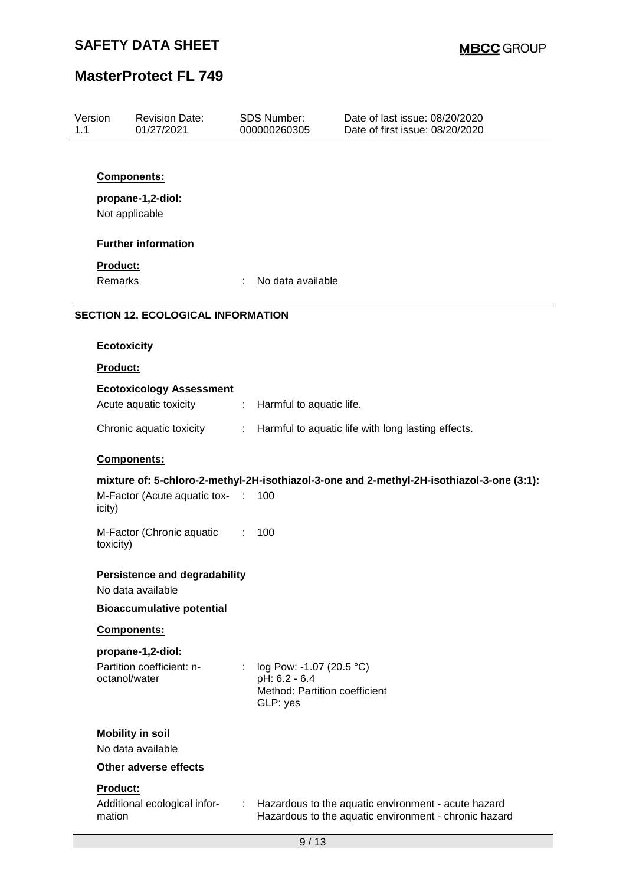# **MasterProtect FL 749**

| Version<br>1.1 |                     | <b>Revision Date:</b><br>01/27/2021                       |                               | <b>SDS Number:</b><br>000000260305                                                     | Date of last issue: 08/20/2020<br>Date of first issue: 08/20/2020                                            |
|----------------|---------------------|-----------------------------------------------------------|-------------------------------|----------------------------------------------------------------------------------------|--------------------------------------------------------------------------------------------------------------|
|                |                     |                                                           |                               |                                                                                        |                                                                                                              |
|                |                     | Components:                                               |                               |                                                                                        |                                                                                                              |
|                |                     | propane-1,2-diol:<br>Not applicable                       |                               |                                                                                        |                                                                                                              |
|                |                     | <b>Further information</b>                                |                               |                                                                                        |                                                                                                              |
|                | Product:<br>Remarks |                                                           | ÷.                            | No data available                                                                      |                                                                                                              |
|                |                     | <b>SECTION 12. ECOLOGICAL INFORMATION</b>                 |                               |                                                                                        |                                                                                                              |
|                | <b>Ecotoxicity</b>  |                                                           |                               |                                                                                        |                                                                                                              |
|                | <b>Product:</b>     |                                                           |                               |                                                                                        |                                                                                                              |
|                |                     | <b>Ecotoxicology Assessment</b><br>Acute aquatic toxicity | ÷                             | Harmful to aquatic life.                                                               |                                                                                                              |
|                |                     | Chronic aquatic toxicity                                  | t.                            |                                                                                        | Harmful to aquatic life with long lasting effects.                                                           |
|                |                     | Components:                                               |                               |                                                                                        |                                                                                                              |
|                |                     |                                                           |                               |                                                                                        | mixture of: 5-chloro-2-methyl-2H-isothiazol-3-one and 2-methyl-2H-isothiazol-3-one (3:1):                    |
|                | icity)              | M-Factor (Acute aquatic tox-                              | - 1                           | 100                                                                                    |                                                                                                              |
|                | toxicity)           | M-Factor (Chronic aquatic                                 | $\mathcal{I}^{\mathcal{I}}$ . | 100                                                                                    |                                                                                                              |
|                |                     | <b>Persistence and degradability</b><br>No data available |                               |                                                                                        |                                                                                                              |
|                |                     | <b>Bioaccumulative potential</b>                          |                               |                                                                                        |                                                                                                              |
|                |                     | Components:                                               |                               |                                                                                        |                                                                                                              |
|                |                     | propane-1,2-diol:                                         |                               |                                                                                        |                                                                                                              |
|                |                     | Partition coefficient: n-<br>octanol/water                |                               | log Pow: -1.07 (20.5 °C)<br>pH: 6.2 - 6.4<br>Method: Partition coefficient<br>GLP: yes |                                                                                                              |
|                |                     | <b>Mobility in soil</b>                                   |                               |                                                                                        |                                                                                                              |
|                |                     | No data available                                         |                               |                                                                                        |                                                                                                              |
|                |                     | Other adverse effects                                     |                               |                                                                                        |                                                                                                              |
|                | Product:            |                                                           |                               |                                                                                        |                                                                                                              |
|                | mation              | Additional ecological infor-                              | ÷.                            |                                                                                        | Hazardous to the aquatic environment - acute hazard<br>Hazardous to the aquatic environment - chronic hazard |
|                |                     |                                                           |                               | 9/13                                                                                   |                                                                                                              |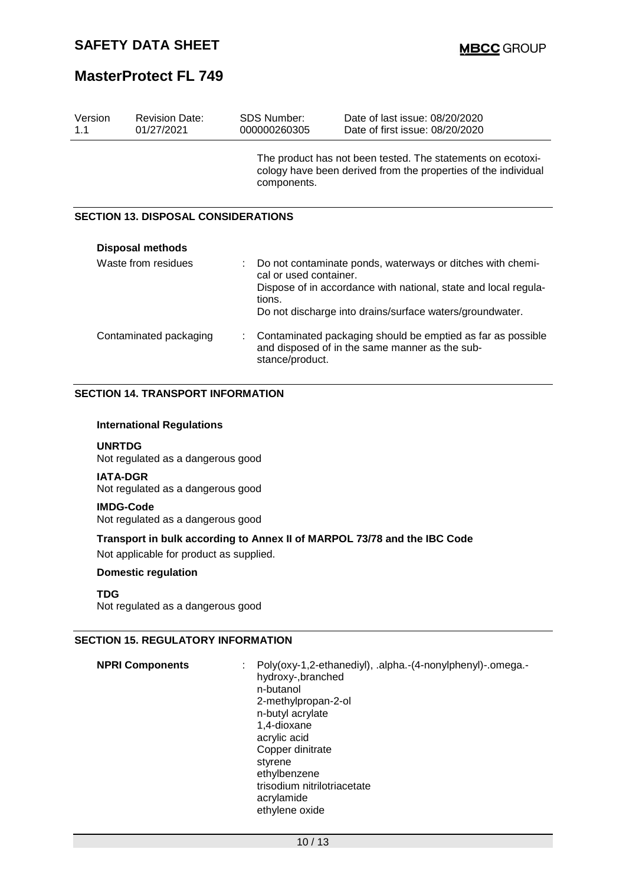### **MasterProtect FL 749**

| Version<br>1.1 | <b>Revision Date:</b><br>01/27/2021        |   | <b>SDS Number:</b><br>000000260305 | Date of last issue: 08/20/2020<br>Date of first issue: 08/20/2020                                                                                                                         |
|----------------|--------------------------------------------|---|------------------------------------|-------------------------------------------------------------------------------------------------------------------------------------------------------------------------------------------|
|                |                                            |   | components.                        | The product has not been tested. The statements on ecotoxi-<br>cology have been derived from the properties of the individual                                                             |
|                | <b>SECTION 13. DISPOSAL CONSIDERATIONS</b> |   |                                    |                                                                                                                                                                                           |
|                | <b>Disposal methods</b>                    |   |                                    |                                                                                                                                                                                           |
|                | Waste from residues                        |   | cal or used container.<br>tions.   | Do not contaminate ponds, waterways or ditches with chemi-<br>Dispose of in accordance with national, state and local regula-<br>Do not discharge into drains/surface waters/groundwater. |
|                | Contaminated packaging                     | ÷ | stance/product.                    | Contaminated packaging should be emptied as far as possible<br>and disposed of in the same manner as the sub-                                                                             |

### **SECTION 14. TRANSPORT INFORMATION**

#### **International Regulations**

**UNRTDG** Not regulated as a dangerous good

**IATA-DGR** Not regulated as a dangerous good

### **IMDG-Code**

Not regulated as a dangerous good

#### **Transport in bulk according to Annex II of MARPOL 73/78 and the IBC Code**

Not applicable for product as supplied.

#### **Domestic regulation**

**TDG**

Not regulated as a dangerous good

### **SECTION 15. REGULATORY INFORMATION**

| <b>NPRI Components</b> | Poly(oxy-1,2-ethanediyl), .alpha.-(4-nonylphenyl)-.omega.- |
|------------------------|------------------------------------------------------------|
|                        | hydroxy-, branched                                         |
|                        | n-butanol                                                  |
|                        | 2-methylpropan-2-ol                                        |
|                        | n-butyl acrylate                                           |
|                        | 1,4-dioxane                                                |
|                        | acrylic acid                                               |
|                        | Copper dinitrate                                           |
|                        | styrene                                                    |
|                        | ethylbenzene                                               |
|                        | trisodium nitrilotriacetate                                |
|                        | acrylamide                                                 |
|                        | ethylene oxide                                             |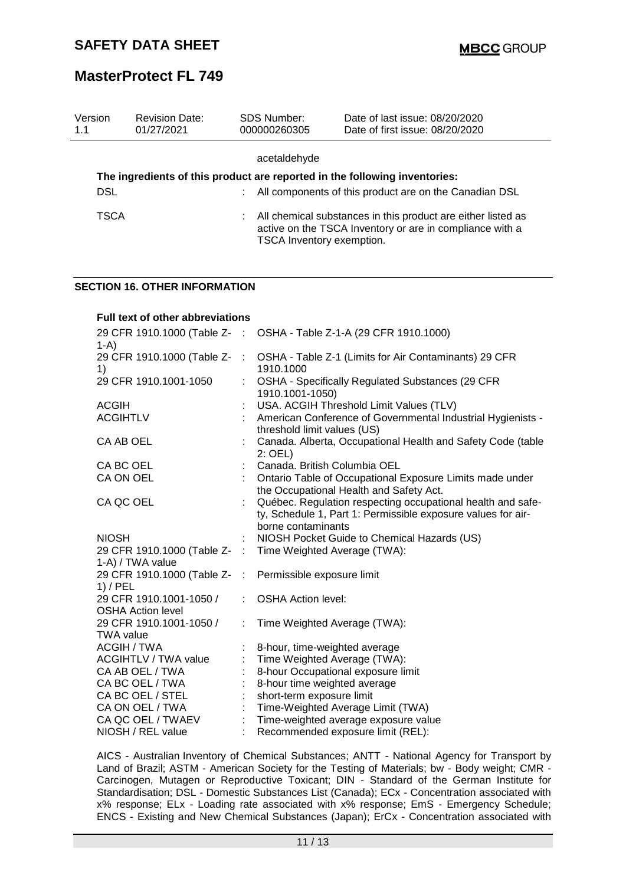### **MasterProtect FL 749**

| Version<br>1.1   | <b>Revision Date:</b><br>01/27/2021     |                                   | <b>SDS Number:</b><br>000000260305                                                                                                                    | Date of last issue: 08/20/2020<br>Date of first issue: 08/20/2020          |
|------------------|-----------------------------------------|-----------------------------------|-------------------------------------------------------------------------------------------------------------------------------------------------------|----------------------------------------------------------------------------|
|                  |                                         |                                   | acetaldehyde                                                                                                                                          |                                                                            |
|                  |                                         |                                   |                                                                                                                                                       | The ingredients of this product are reported in the following inventories: |
|                  |                                         |                                   |                                                                                                                                                       |                                                                            |
| <b>DSL</b>       |                                         |                                   |                                                                                                                                                       | All components of this product are on the Canadian DSL                     |
| <b>TSCA</b>      |                                         |                                   | All chemical substances in this product are either listed as<br>active on the TSCA Inventory or are in compliance with a<br>TSCA Inventory exemption. |                                                                            |
|                  | <b>SECTION 16. OTHER INFORMATION</b>    |                                   |                                                                                                                                                       |                                                                            |
|                  | <b>Full text of other abbreviations</b> |                                   |                                                                                                                                                       |                                                                            |
|                  | 29 CFR 1910.1000 (Table Z- :            |                                   |                                                                                                                                                       | OSHA - Table Z-1-A (29 CFR 1910.1000)                                      |
| $1-A$            |                                         |                                   |                                                                                                                                                       |                                                                            |
|                  | 29 CFR 1910.1000 (Table Z-              | ÷                                 |                                                                                                                                                       | OSHA - Table Z-1 (Limits for Air Contaminants) 29 CFR                      |
| 1)               | 29 CFR 1910.1001-1050                   |                                   | 1910.1000                                                                                                                                             | OSHA - Specifically Regulated Substances (29 CFR                           |
|                  |                                         |                                   | 1910.1001-1050)                                                                                                                                       |                                                                            |
| <b>ACGIH</b>     |                                         |                                   |                                                                                                                                                       | USA. ACGIH Threshold Limit Values (TLV)                                    |
| <b>ACGIHTLV</b>  |                                         |                                   |                                                                                                                                                       | American Conference of Governmental Industrial Hygienists -                |
|                  |                                         |                                   | threshold limit values (US)                                                                                                                           |                                                                            |
| CA AB OEL        |                                         |                                   | 2: OEL)                                                                                                                                               | Canada. Alberta, Occupational Health and Safety Code (table                |
| CA BC OEL        |                                         |                                   | Canada. British Columbia OEL                                                                                                                          |                                                                            |
| CA ON OEL        |                                         |                                   |                                                                                                                                                       | Ontario Table of Occupational Exposure Limits made under                   |
|                  |                                         |                                   |                                                                                                                                                       | the Occupational Health and Safety Act.                                    |
| CA QC OEL        |                                         |                                   |                                                                                                                                                       | Québec. Regulation respecting occupational health and safe-                |
|                  |                                         |                                   |                                                                                                                                                       | ty, Schedule 1, Part 1: Permissible exposure values for air-               |
|                  |                                         |                                   | borne contaminants                                                                                                                                    |                                                                            |
| <b>NIOSH</b>     | 29 CFR 1910.1000 (Table Z-              | ÷                                 | Time Weighted Average (TWA):                                                                                                                          | NIOSH Pocket Guide to Chemical Hazards (US)                                |
|                  | 1-A) / TWA value                        |                                   |                                                                                                                                                       |                                                                            |
|                  | 29 CFR 1910.1000 (Table Z-              |                                   | Permissible exposure limit                                                                                                                            |                                                                            |
| $1)$ / PEL       |                                         |                                   |                                                                                                                                                       |                                                                            |
|                  | 29 CFR 1910.1001-1050 /                 |                                   | <b>OSHA Action level:</b>                                                                                                                             |                                                                            |
|                  | <b>OSHA Action level</b>                |                                   |                                                                                                                                                       |                                                                            |
| <b>TWA value</b> | 29 CFR 1910.1001-1050 /                 | ÷                                 | Time Weighted Average (TWA):                                                                                                                          |                                                                            |
|                  | <b>ACGIH / TWA</b>                      |                                   | 8-hour, time-weighted average                                                                                                                         |                                                                            |
|                  | <b>ACGIHTLV / TWA value</b>             |                                   | Time Weighted Average (TWA):                                                                                                                          |                                                                            |
|                  | CA AB OEL / TWA                         |                                   | 8-hour Occupational exposure limit                                                                                                                    |                                                                            |
|                  | CA BC OEL / TWA                         |                                   | 8-hour time weighted average                                                                                                                          |                                                                            |
|                  | CA BC OEL / STEL                        |                                   | short-term exposure limit                                                                                                                             |                                                                            |
|                  | CA ON OEL / TWA                         | Time-Weighted Average Limit (TWA) |                                                                                                                                                       |                                                                            |
|                  | CA QC OEL / TWAEV                       |                                   |                                                                                                                                                       | Time-weighted average exposure value                                       |
|                  | NIOSH / REL value                       |                                   |                                                                                                                                                       | Recommended exposure limit (REL):                                          |

AICS - Australian Inventory of Chemical Substances; ANTT - National Agency for Transport by Land of Brazil; ASTM - American Society for the Testing of Materials; bw - Body weight; CMR - Carcinogen, Mutagen or Reproductive Toxicant; DIN - Standard of the German Institute for Standardisation; DSL - Domestic Substances List (Canada); ECx - Concentration associated with x% response; ELx - Loading rate associated with x% response; EmS - Emergency Schedule; ENCS - Existing and New Chemical Substances (Japan); ErCx - Concentration associated with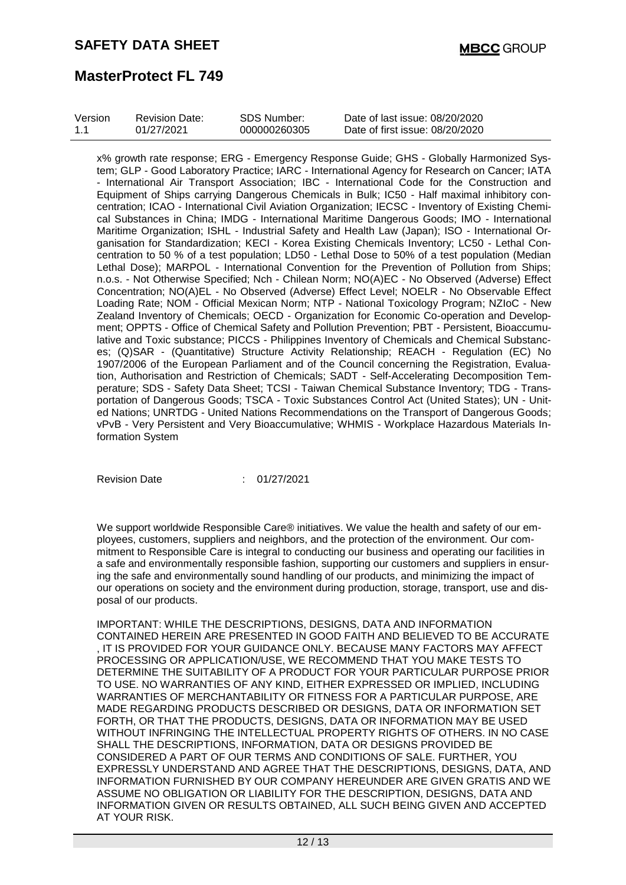### **MasterProtect FL 749**

| Version | <b>Revision Date:</b> | SDS Number:  | Date of last issue: 08/20/2020  |
|---------|-----------------------|--------------|---------------------------------|
| 1.1     | 01/27/2021            | 000000260305 | Date of first issue: 08/20/2020 |

x% growth rate response; ERG - Emergency Response Guide; GHS - Globally Harmonized System; GLP - Good Laboratory Practice; IARC - International Agency for Research on Cancer; IATA - International Air Transport Association; IBC - International Code for the Construction and Equipment of Ships carrying Dangerous Chemicals in Bulk; IC50 - Half maximal inhibitory concentration; ICAO - International Civil Aviation Organization; IECSC - Inventory of Existing Chemical Substances in China; IMDG - International Maritime Dangerous Goods; IMO - International Maritime Organization; ISHL - Industrial Safety and Health Law (Japan); ISO - International Organisation for Standardization; KECI - Korea Existing Chemicals Inventory; LC50 - Lethal Concentration to 50 % of a test population; LD50 - Lethal Dose to 50% of a test population (Median Lethal Dose); MARPOL - International Convention for the Prevention of Pollution from Ships; n.o.s. - Not Otherwise Specified; Nch - Chilean Norm; NO(A)EC - No Observed (Adverse) Effect Concentration; NO(A)EL - No Observed (Adverse) Effect Level; NOELR - No Observable Effect Loading Rate; NOM - Official Mexican Norm; NTP - National Toxicology Program; NZIoC - New Zealand Inventory of Chemicals; OECD - Organization for Economic Co-operation and Development; OPPTS - Office of Chemical Safety and Pollution Prevention; PBT - Persistent, Bioaccumulative and Toxic substance; PICCS - Philippines Inventory of Chemicals and Chemical Substances; (Q)SAR - (Quantitative) Structure Activity Relationship; REACH - Regulation (EC) No 1907/2006 of the European Parliament and of the Council concerning the Registration, Evaluation, Authorisation and Restriction of Chemicals; SADT - Self-Accelerating Decomposition Temperature; SDS - Safety Data Sheet; TCSI - Taiwan Chemical Substance Inventory; TDG - Transportation of Dangerous Goods; TSCA - Toxic Substances Control Act (United States); UN - United Nations; UNRTDG - United Nations Recommendations on the Transport of Dangerous Goods; vPvB - Very Persistent and Very Bioaccumulative; WHMIS - Workplace Hazardous Materials Information System

Revision Date : 01/27/2021

We support worldwide Responsible Care® initiatives. We value the health and safety of our employees, customers, suppliers and neighbors, and the protection of the environment. Our commitment to Responsible Care is integral to conducting our business and operating our facilities in a safe and environmentally responsible fashion, supporting our customers and suppliers in ensuring the safe and environmentally sound handling of our products, and minimizing the impact of our operations on society and the environment during production, storage, transport, use and disposal of our products.

IMPORTANT: WHILE THE DESCRIPTIONS, DESIGNS, DATA AND INFORMATION CONTAINED HEREIN ARE PRESENTED IN GOOD FAITH AND BELIEVED TO BE ACCURATE , IT IS PROVIDED FOR YOUR GUIDANCE ONLY. BECAUSE MANY FACTORS MAY AFFECT PROCESSING OR APPLICATION/USE, WE RECOMMEND THAT YOU MAKE TESTS TO DETERMINE THE SUITABILITY OF A PRODUCT FOR YOUR PARTICULAR PURPOSE PRIOR TO USE. NO WARRANTIES OF ANY KIND, EITHER EXPRESSED OR IMPLIED, INCLUDING WARRANTIES OF MERCHANTABILITY OR FITNESS FOR A PARTICULAR PURPOSE, ARE MADE REGARDING PRODUCTS DESCRIBED OR DESIGNS, DATA OR INFORMATION SET FORTH, OR THAT THE PRODUCTS, DESIGNS, DATA OR INFORMATION MAY BE USED WITHOUT INFRINGING THE INTELLECTUAL PROPERTY RIGHTS OF OTHERS. IN NO CASE SHALL THE DESCRIPTIONS, INFORMATION, DATA OR DESIGNS PROVIDED BE CONSIDERED A PART OF OUR TERMS AND CONDITIONS OF SALE. FURTHER, YOU EXPRESSLY UNDERSTAND AND AGREE THAT THE DESCRIPTIONS, DESIGNS, DATA, AND INFORMATION FURNISHED BY OUR COMPANY HEREUNDER ARE GIVEN GRATIS AND WE ASSUME NO OBLIGATION OR LIABILITY FOR THE DESCRIPTION, DESIGNS, DATA AND INFORMATION GIVEN OR RESULTS OBTAINED, ALL SUCH BEING GIVEN AND ACCEPTED AT YOUR RISK.